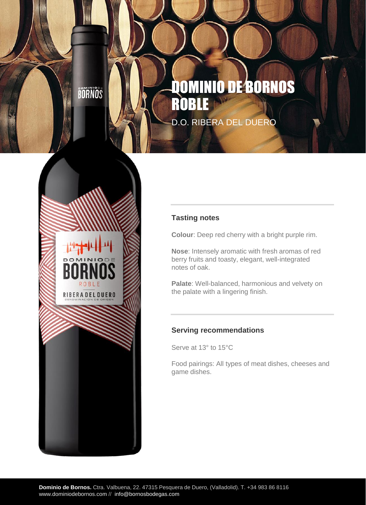BOANOS

RIBERA DEL DUERO

# DOMINIO DE BORNOS ROB D.O. RIBERA DEL DUERO



**Colour**: Deep red cherry with a bright purple rim.

**Nose**: Intensely aromatic with fresh aromas of red berry fruits and toasty, elegant, well-integrated notes of oak.

**Palate**: Well-balanced, harmonious and velvety on the palate with a lingering finish.

### **Serving recommendations**

Serve at 13° to 15°C

Food pairings: All types of meat dishes, cheeses and game dishes.